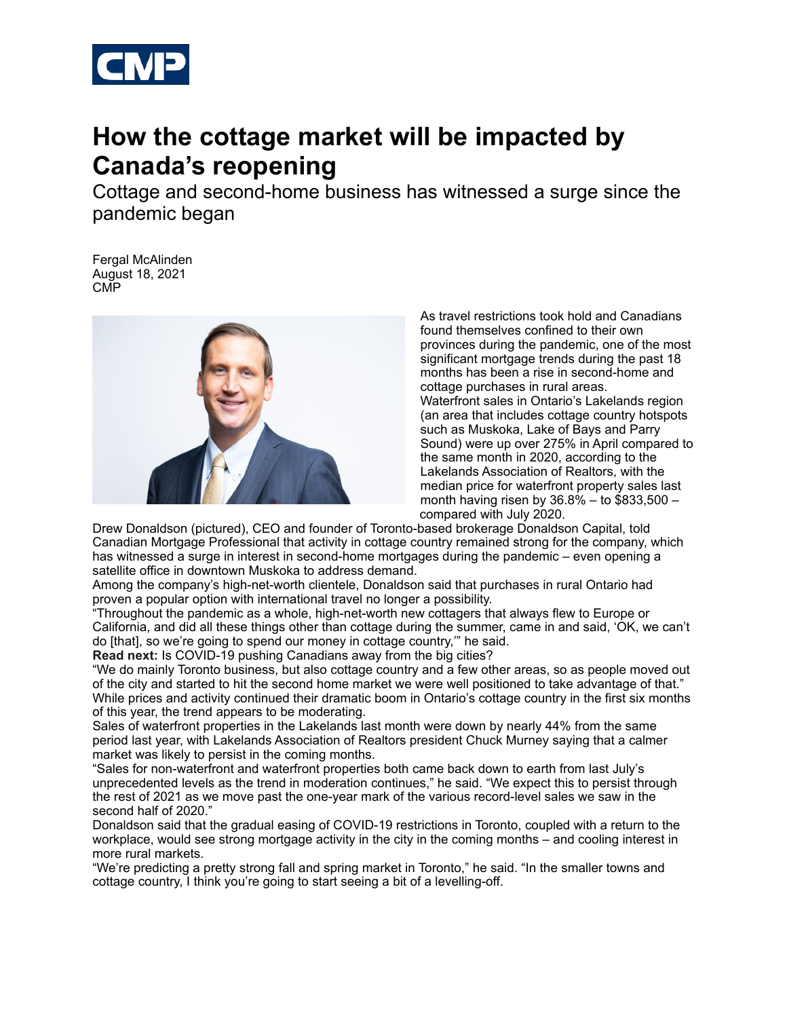

## **How the cottage market will be impacted by Canada's reopening**

Cottage and second-home business has witnessed a surge since the pandemic began

Fergal McAlinden August 18, 2021 CMP



As travel restrictions took hold and Canadians found themselves confined to their own provinces during the pandemic, one of the most significant mortgage trends during the past 18 months has been a rise in second-home and cottage purchases in rural areas. Waterfront sales in Ontario's Lakelands region (an area that includes cottage country hotspots such as Muskoka, Lake of Bays and Parry Sound) were up over 275% in April compared to the same month in 2020, according to the Lakelands Association of Realtors, with the median price for waterfront property sales last month having risen by 36.8% – to \$833,500 – compared with July 2020.

Drew Donaldson (pictured), CEO and founder of Toronto-based brokerage Donaldson Capital, told Canadian Mortgage Professional that activity in cottage country remained strong for the company, which has witnessed a surge in interest in second-home mortgages during the pandemic – even opening a satellite office in downtown Muskoka to address demand.

Among the company's high-net-worth clientele, Donaldson said that purchases in rural Ontario had proven a popular option with international travel no longer a possibility.

"Throughout the pandemic as a whole, high-net-worth new cottagers that always flew to Europe or California, and did all these things other than cottage during the summer, came in and said, 'OK, we can't do [that], so we're going to spend our money in cottage country,'" he said.

**Read next:** Is COVID-19 pushing Canadians away from the big cities?

"We do mainly Toronto business, but also cottage country and a few other areas, so as people moved out of the city and started to hit the second home market we were well positioned to take advantage of that." While prices and activity continued their dramatic boom in Ontario's cottage country in the first six months of this year, the trend appears to be moderating.

Sales of waterfront properties in the Lakelands last month were down by nearly 44% from the same period last year, with Lakelands Association of Realtors president Chuck Murney saying that a calmer market was likely to persist in the coming months.

"Sales for non-waterfront and waterfront properties both came back down to earth from last July's unprecedented levels as the trend in moderation continues," he said. "We expect this to persist through the rest of 2021 as we move past the one-year mark of the various record-level sales we saw in the second half of 2020."

Donaldson said that the gradual easing of COVID-19 restrictions in Toronto, coupled with a return to the workplace, would see strong mortgage activity in the city in the coming months – and cooling interest in more rural markets.

"We're predicting a pretty strong fall and spring market in Toronto," he said. "In the smaller towns and cottage country, I think you're going to start seeing a bit of a levelling-off.